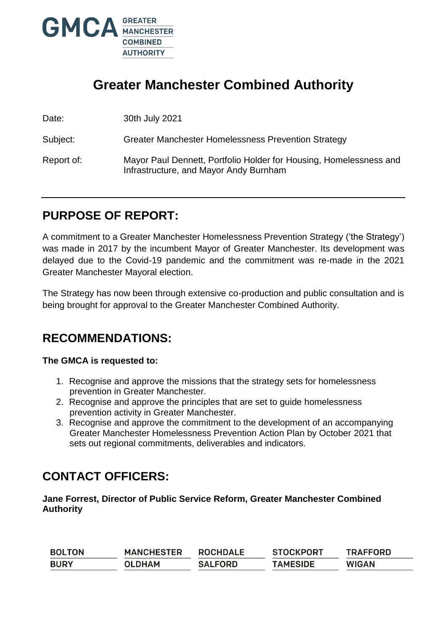

# **Greater Manchester Combined Authority**

Date: 30th July 2021

Subject: Greater Manchester Homelessness Prevention Strategy

Report of: Mayor Paul Dennett, Portfolio Holder for Housing, Homelessness and Infrastructure, and Mayor Andy Burnham

# **PURPOSE OF REPORT:**

A commitment to a Greater Manchester Homelessness Prevention Strategy ('the Strategy') was made in 2017 by the incumbent Mayor of Greater Manchester. Its development was delayed due to the Covid-19 pandemic and the commitment was re-made in the 2021 Greater Manchester Mayoral election.

The Strategy has now been through extensive co-production and public consultation and is being brought for approval to the Greater Manchester Combined Authority.

# **RECOMMENDATIONS:**

### **The GMCA is requested to:**

- 1. Recognise and approve the missions that the strategy sets for homelessness prevention in Greater Manchester.
- 2. Recognise and approve the principles that are set to guide homelessness prevention activity in Greater Manchester.
- 3. Recognise and approve the commitment to the development of an accompanying Greater Manchester Homelessness Prevention Action Plan by October 2021 that sets out regional commitments, deliverables and indicators.

## **CONTACT OFFICERS:**

**Jane Forrest, Director of Public Service Reform, Greater Manchester Combined Authority** 

| <b>BOLTON</b> | <b>MANCHESTER</b> | <b>ROCHDALE</b> | <b>STOCKPORT</b> | <b>TRAFFORD</b> |
|---------------|-------------------|-----------------|------------------|-----------------|
| <b>BURY</b>   | <b>OLDHAM</b>     | <b>SALFORD</b>  | <b>TAMESIDE</b>  | <b>WIGAN</b>    |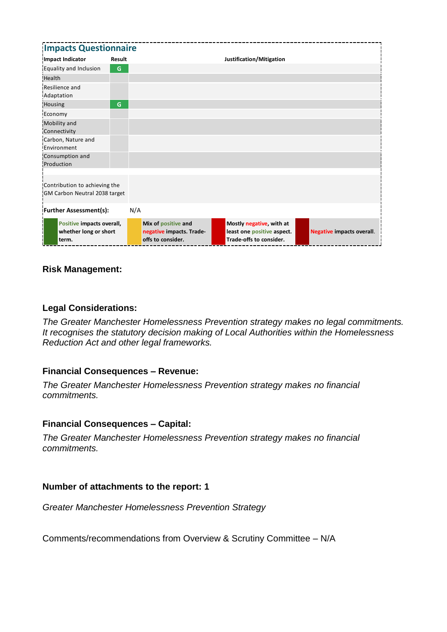| <b>Impacts Questionnaire</b>                                   |        |                                                                      |                                                                                   |                                  |  |  |  |
|----------------------------------------------------------------|--------|----------------------------------------------------------------------|-----------------------------------------------------------------------------------|----------------------------------|--|--|--|
| <b>Impact Indicator</b>                                        | Result |                                                                      | Justification/Mitigation                                                          |                                  |  |  |  |
| Equality and Inclusion                                         | G      |                                                                      |                                                                                   |                                  |  |  |  |
| Health                                                         |        |                                                                      |                                                                                   |                                  |  |  |  |
| Resilience and<br>Adaptation                                   |        |                                                                      |                                                                                   |                                  |  |  |  |
| Housing                                                        | G      |                                                                      |                                                                                   |                                  |  |  |  |
| Economy                                                        |        |                                                                      |                                                                                   |                                  |  |  |  |
| Mobility and<br>Connectivity                                   |        |                                                                      |                                                                                   |                                  |  |  |  |
| Carbon, Nature and<br>Environment                              |        |                                                                      |                                                                                   |                                  |  |  |  |
| Consumption and<br>Production                                  |        |                                                                      |                                                                                   |                                  |  |  |  |
| Contribution to achieving the<br>GM Carbon Neutral 2038 target |        |                                                                      |                                                                                   |                                  |  |  |  |
| <b>Further Assessment(s):</b>                                  |        | N/A                                                                  |                                                                                   |                                  |  |  |  |
| Positive impacts overall,<br>whether long or short<br>term.    |        | Mix of positive and<br>negative impacts. Trade-<br>offs to consider. | Mostly negative, with at<br>least one positive aspect.<br>Trade-offs to consider. | <b>Negative impacts overall.</b> |  |  |  |

### **Risk Management:**

#### **Legal Considerations:**

*The Greater Manchester Homelessness Prevention strategy makes no legal commitments. It recognises the statutory decision making of Local Authorities within the Homelessness Reduction Act and other legal frameworks.* 

#### **Financial Consequences – Revenue:**

*The Greater Manchester Homelessness Prevention strategy makes no financial commitments.* 

#### **Financial Consequences – Capital:**

*The Greater Manchester Homelessness Prevention strategy makes no financial commitments.* 

#### **Number of attachments to the report: 1**

*Greater Manchester Homelessness Prevention Strategy* 

Comments/recommendations from Overview & Scrutiny Committee – N/A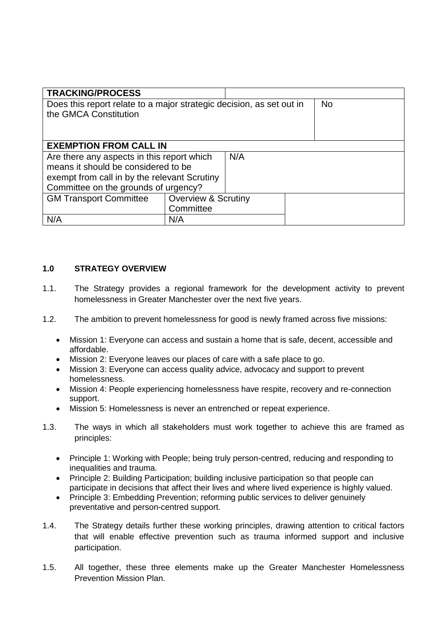| <b>TRACKING/PROCESS</b>                                              |                                |           |  |  |  |  |  |
|----------------------------------------------------------------------|--------------------------------|-----------|--|--|--|--|--|
| Does this report relate to a major strategic decision, as set out in |                                | <b>No</b> |  |  |  |  |  |
| the GMCA Constitution                                                |                                |           |  |  |  |  |  |
|                                                                      |                                |           |  |  |  |  |  |
|                                                                      |                                |           |  |  |  |  |  |
| <b>EXEMPTION FROM CALL IN</b>                                        |                                |           |  |  |  |  |  |
| Are there any aspects in this report which<br>N/A                    |                                |           |  |  |  |  |  |
| means it should be considered to be                                  |                                |           |  |  |  |  |  |
| exempt from call in by the relevant Scrutiny                         |                                |           |  |  |  |  |  |
| Committee on the grounds of urgency?                                 |                                |           |  |  |  |  |  |
| <b>GM Transport Committee</b>                                        | <b>Overview &amp; Scrutiny</b> |           |  |  |  |  |  |
|                                                                      | Committee                      |           |  |  |  |  |  |
| N/A                                                                  | N/A                            |           |  |  |  |  |  |

#### **1.0 STRATEGY OVERVIEW**

- 1.1. The Strategy provides a regional framework for the development activity to prevent homelessness in Greater Manchester over the next five years.
- 1.2. The ambition to prevent homelessness for good is newly framed across five missions:
	- Mission 1: Everyone can access and sustain a home that is safe, decent, accessible and affordable.
	- Mission 2: Everyone leaves our places of care with a safe place to go.
	- Mission 3: Everyone can access quality advice, advocacy and support to prevent homelessness.
	- Mission 4: People experiencing homelessness have respite, recovery and re-connection support.
	- Mission 5: Homelessness is never an entrenched or repeat experience.
- 1.3. The ways in which all stakeholders must work together to achieve this are framed as principles:
	- Principle 1: Working with People; being truly person-centred, reducing and responding to inequalities and trauma.
	- Principle 2: Building Participation; building inclusive participation so that people can participate in decisions that affect their lives and where lived experience is highly valued.
	- Principle 3: Embedding Prevention; reforming public services to deliver genuinely preventative and person-centred support.
- 1.4. The Strategy details further these working principles, drawing attention to critical factors that will enable effective prevention such as trauma informed support and inclusive participation.
- 1.5. All together, these three elements make up the Greater Manchester Homelessness Prevention Mission Plan.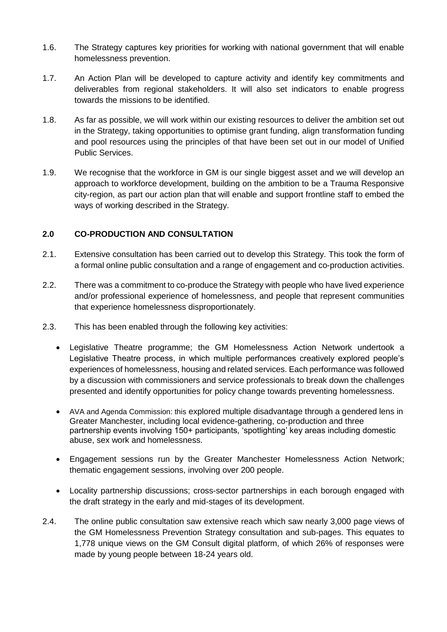- 1.6. The Strategy captures key priorities for working with national government that will enable homelessness prevention.
- 1.7. An Action Plan will be developed to capture activity and identify key commitments and deliverables from regional stakeholders. It will also set indicators to enable progress towards the missions to be identified.
- 1.8. As far as possible, we will work within our existing resources to deliver the ambition set out in the Strategy, taking opportunities to optimise grant funding, align transformation funding and pool resources using the principles of that have been set out in our model of Unified Public Services.
- 1.9. We recognise that the workforce in GM is our single biggest asset and we will develop an approach to workforce development, building on the ambition to be a Trauma Responsive city-region, as part our action plan that will enable and support frontline staff to embed the ways of working described in the Strategy.

#### **2.0 CO-PRODUCTION AND CONSULTATION**

- 2.1. Extensive consultation has been carried out to develop this Strategy. This took the form of a formal online public consultation and a range of engagement and co-production activities.
- 2.2. There was a commitment to co-produce the Strategy with people who have lived experience and/or professional experience of homelessness, and people that represent communities that experience homelessness disproportionately.
- 2.3. This has been enabled through the following key activities:
	- Legislative Theatre programme; the GM Homelessness Action Network undertook a Legislative Theatre process, in which multiple performances creatively explored people's experiences of homelessness, housing and related services. Each performance was followed by a discussion with commissioners and service professionals to break down the challenges presented and identify opportunities for policy change towards preventing homelessness.
	- AVA and Agenda Commission: this explored multiple disadvantage through a gendered lens in Greater Manchester, including local evidence-gathering, co-production and three partnership events involving 150+ participants, 'spotlighting' key areas including domestic abuse, sex work and homelessness.
	- Engagement sessions run by the Greater Manchester Homelessness Action Network; thematic engagement sessions, involving over 200 people.
	- Locality partnership discussions; cross-sector partnerships in each borough engaged with the draft strategy in the early and mid-stages of its development.
- 2.4. The online public consultation saw extensive reach which saw nearly 3,000 page views of the GM Homelessness Prevention Strategy consultation and sub-pages. This equates to 1,778 unique views on the GM Consult digital platform, of which 26% of responses were made by young people between 18-24 years old.